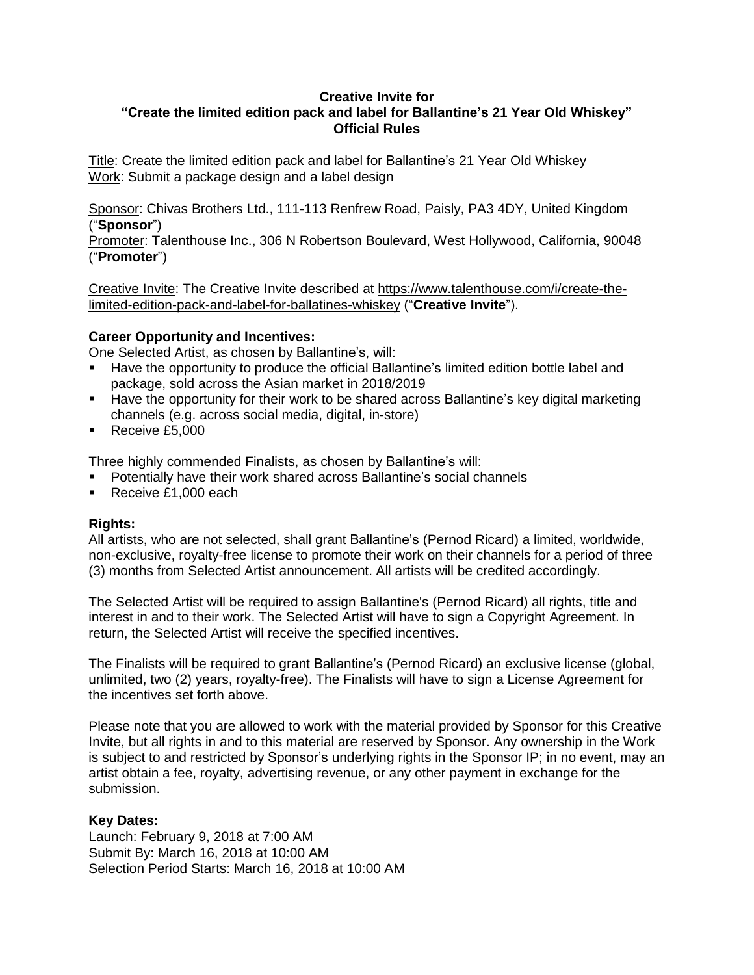#### **Creative Invite for**

# **"Create the limited edition pack and label for Ballantine's 21 Year Old Whiskey" Official Rules**

Title: Create the limited edition pack and label for Ballantine's 21 Year Old Whiskey Work: Submit a package design and a label design

Sponsor: Chivas Brothers Ltd., 111-113 Renfrew Road, Paisly, PA3 4DY, United Kingdom ("**Sponsor**")

Promoter: Talenthouse Inc., 306 N Robertson Boulevard, West Hollywood, California, 90048 ("**Promoter**")

Creative Invite: The Creative Invite described at [https://www.talenthouse.com/i/create-the](https://www.talenthouse.com/i/create-the-limited-edition-pack-and-label-for-ballatines-whiskey)[limited-edition-pack-and-label-for-ballatines-whiskey](https://www.talenthouse.com/i/create-the-limited-edition-pack-and-label-for-ballatines-whiskey) ("**Creative Invite**").

#### **Career Opportunity and Incentives:**

One Selected Artist, as chosen by Ballantine's, will:

- Have the opportunity to produce the official Ballantine's limited edition bottle label and package, sold across the Asian market in 2018/2019
- Have the opportunity for their work to be shared across Ballantine's key digital marketing channels (e.g. across social media, digital, in-store)
- Receive £5,000

Three highly commended Finalists, as chosen by Ballantine's will:

- Potentially have their work shared across Ballantine's social channels
- Receive £1,000 each

## **Rights:**

All artists, who are not selected, shall grant Ballantine's (Pernod Ricard) a limited, worldwide, non-exclusive, royalty-free license to promote their work on their channels for a period of three (3) months from Selected Artist announcement. All artists will be credited accordingly.

The Selected Artist will be required to assign Ballantine's (Pernod Ricard) all rights, title and interest in and to their work. The Selected Artist will have to sign a Copyright Agreement. In return, the Selected Artist will receive the specified incentives.

The Finalists will be required to grant Ballantine's (Pernod Ricard) an exclusive license (global, unlimited, two (2) years, royalty-free). The Finalists will have to sign a License Agreement for the incentives set forth above.

Please note that you are allowed to work with the material provided by Sponsor for this Creative Invite, but all rights in and to this material are reserved by Sponsor. Any ownership in the Work is subject to and restricted by Sponsor's underlying rights in the Sponsor IP; in no event, may an artist obtain a fee, royalty, advertising revenue, or any other payment in exchange for the submission.

## **Key Dates:**

Launch: February 9, 2018 at 7:00 AM Submit By: March 16, 2018 at 10:00 AM Selection Period Starts: March 16, 2018 at 10:00 AM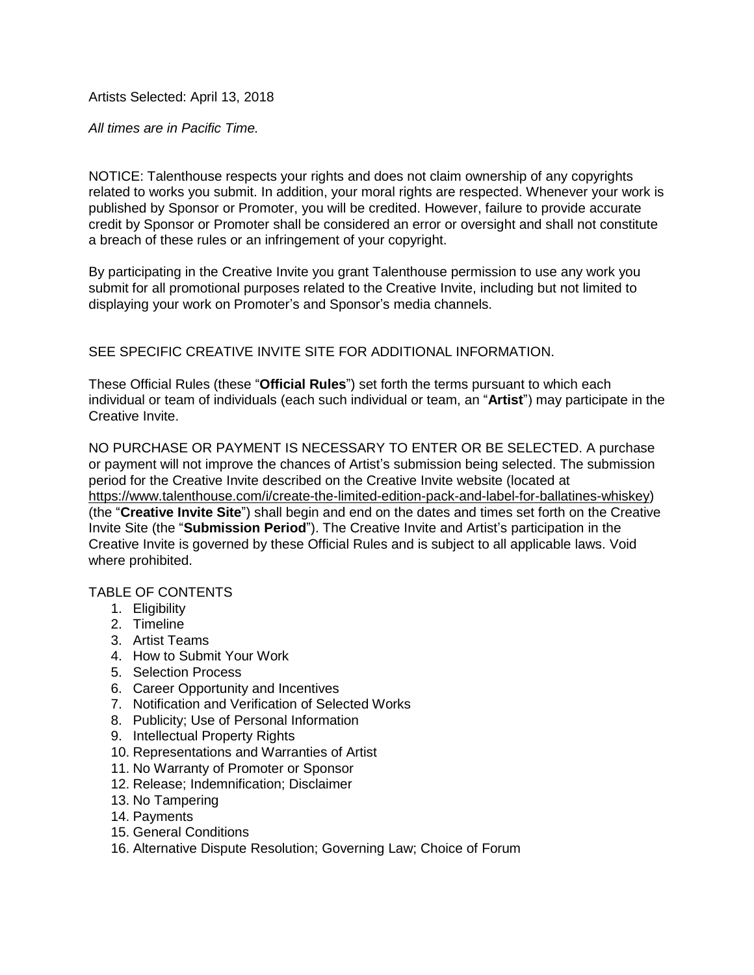Artists Selected: April 13, 2018

*All times are in Pacific Time.*

NOTICE: Talenthouse respects your rights and does not claim ownership of any copyrights related to works you submit. In addition, your moral rights are respected. Whenever your work is published by Sponsor or Promoter, you will be credited. However, failure to provide accurate credit by Sponsor or Promoter shall be considered an error or oversight and shall not constitute a breach of these rules or an infringement of your copyright.

By participating in the Creative Invite you grant Talenthouse permission to use any work you submit for all promotional purposes related to the Creative Invite, including but not limited to displaying your work on Promoter's and Sponsor's media channels.

SEE SPECIFIC CREATIVE INVITE SITE FOR ADDITIONAL INFORMATION.

These Official Rules (these "**Official Rules**") set forth the terms pursuant to which each individual or team of individuals (each such individual or team, an "**Artist**") may participate in the Creative Invite.

NO PURCHASE OR PAYMENT IS NECESSARY TO ENTER OR BE SELECTED. A purchase or payment will not improve the chances of Artist's submission being selected. The submission period for the Creative Invite described on the Creative Invite website (located at [https://www.talenthouse.com/i/create-the-limited-edition-pack-and-label-for-ballatines-whiskey\)](https://www.talenthouse.com/i/create-the-limited-edition-pack-and-label-for-ballatines-whiskey) (the "**Creative Invite Site**") shall begin and end on the dates and times set forth on the Creative Invite Site (the "**Submission Period**"). The Creative Invite and Artist's participation in the Creative Invite is governed by these Official Rules and is subject to all applicable laws. Void where prohibited.

## TABLE OF CONTENTS

- 1. Eligibility
- 2. Timeline
- 3. Artist Teams
- 4. How to Submit Your Work
- 5. Selection Process
- 6. Career Opportunity and Incentives
- 7. Notification and Verification of Selected Works
- 8. Publicity; Use of Personal Information
- 9. Intellectual Property Rights
- 10. Representations and Warranties of Artist
- 11. No Warranty of Promoter or Sponsor
- 12. Release; Indemnification; Disclaimer
- 13. No Tampering
- 14. Payments
- 15. General Conditions
- 16. Alternative Dispute Resolution; Governing Law; Choice of Forum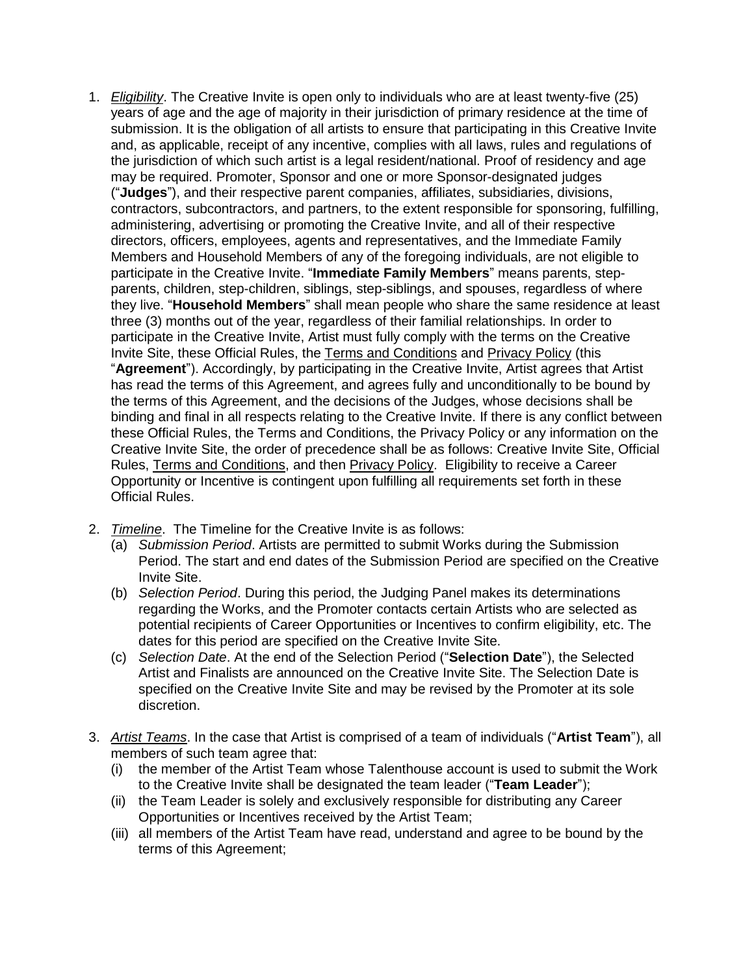- 1. *Eligibility*. The Creative Invite is open only to individuals who are at least twenty-five (25) years of age and the age of majority in their jurisdiction of primary residence at the time of submission. It is the obligation of all artists to ensure that participating in this Creative Invite and, as applicable, receipt of any incentive, complies with all laws, rules and regulations of the jurisdiction of which such artist is a legal resident/national. Proof of residency and age may be required. Promoter, Sponsor and one or more Sponsor-designated judges ("**Judges**"), and their respective parent companies, affiliates, subsidiaries, divisions, contractors, subcontractors, and partners, to the extent responsible for sponsoring, fulfilling, administering, advertising or promoting the Creative Invite, and all of their respective directors, officers, employees, agents and representatives, and the Immediate Family Members and Household Members of any of the foregoing individuals, are not eligible to participate in the Creative Invite. "**Immediate Family Members**" means parents, stepparents, children, step-children, siblings, step-siblings, and spouses, regardless of where they live. "**Household Members**" shall mean people who share the same residence at least three (3) months out of the year, regardless of their familial relationships. In order to participate in the Creative Invite, Artist must fully comply with the terms on the Creative Invite Site, these Official Rules, the Terms and [Conditions](https://www.talenthouse.com/terms-and-conditions) and [Privacy](https://www.talenthouse.com/privacy-policy) Policy (this "**Agreement**"). Accordingly, by participating in the Creative Invite, Artist agrees that Artist has read the terms of this Agreement, and agrees fully and unconditionally to be bound by the terms of this Agreement, and the decisions of the Judges, whose decisions shall be binding and final in all respects relating to the Creative Invite. If there is any conflict between these Official Rules, the Terms and Conditions, the Privacy Policy or any information on the Creative Invite Site, the order of precedence shall be as follows: Creative Invite Site, Official Rules, Terms and Conditions, and then Privacy Policy. Eligibility to receive a Career Opportunity or Incentive is contingent upon fulfilling all requirements set forth in these Official Rules.
- 2. *Timeline*. The Timeline for the Creative Invite is as follows:
	- (a) *Submission Period*. Artists are permitted to submit Works during the Submission Period. The start and end dates of the Submission Period are specified on the Creative Invite Site.
	- (b) *Selection Period*. During this period, the Judging Panel makes its determinations regarding the Works, and the Promoter contacts certain Artists who are selected as potential recipients of Career Opportunities or Incentives to confirm eligibility, etc. The dates for this period are specified on the Creative Invite Site.
	- (c) *Selection Date*. At the end of the Selection Period ("**Selection Date**"), the Selected Artist and Finalists are announced on the Creative Invite Site. The Selection Date is specified on the Creative Invite Site and may be revised by the Promoter at its sole discretion.
- 3. *Artist Teams*. In the case that Artist is comprised of a team of individuals ("**Artist Team**"), all members of such team agree that:
	- (i) the member of the Artist Team whose Talenthouse account is used to submit the Work to the Creative Invite shall be designated the team leader ("**Team Leader**");
	- (ii) the Team Leader is solely and exclusively responsible for distributing any Career Opportunities or Incentives received by the Artist Team;
	- (iii) all members of the Artist Team have read, understand and agree to be bound by the terms of this Agreement;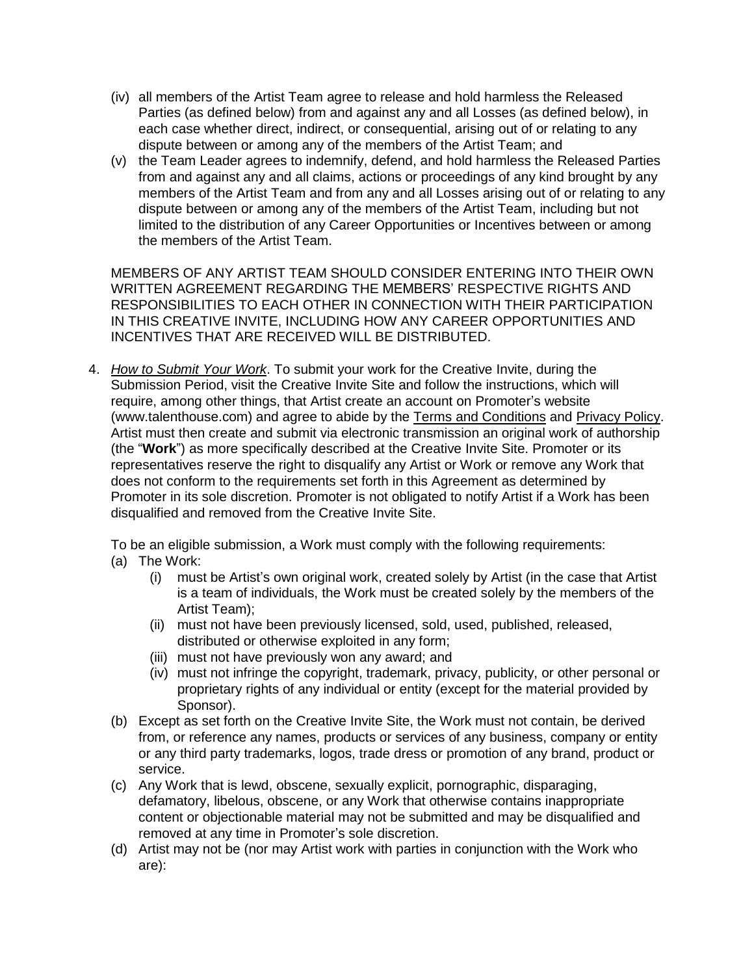- (iv) all members of the Artist Team agree to release and hold harmless the Released Parties (as defined below) from and against any and all Losses (as defined below), in each case whether direct, indirect, or consequential, arising out of or relating to any dispute between or among any of the members of the Artist Team; and
- (v) the Team Leader agrees to indemnify, defend, and hold harmless the Released Parties from and against any and all claims, actions or proceedings of any kind brought by any members of the Artist Team and from any and all Losses arising out of or relating to any dispute between or among any of the members of the Artist Team, including but not limited to the distribution of any Career Opportunities or Incentives between or among the members of the Artist Team.

MEMBERS OF ANY ARTIST TEAM SHOULD CONSIDER ENTERING INTO THEIR OWN WRITTEN AGREEMENT REGARDING THE MEMBERS' RESPECTIVE RIGHTS AND RESPONSIBILITIES TO EACH OTHER IN CONNECTION WITH THEIR PARTICIPATION IN THIS CREATIVE INVITE, INCLUDING HOW ANY CAREER OPPORTUNITIES AND INCENTIVES THAT ARE RECEIVED WILL BE DISTRIBUTED.

4. *How to Submit Your Work*. To submit your work for the Creative Invite, during the Submission Period, visit the Creative Invite Site and follow the instructions, which will require, among other things, that Artist create an account on Promoter's website (www.talenthouse.com) and agree to abide by the Terms and Conditions and Privacy Policy. Artist must then create and submit via electronic transmission an original work of authorship (the "**Work**") as more specifically described at the Creative Invite Site. Promoter or its representatives reserve the right to disqualify any Artist or Work or remove any Work that does not conform to the requirements set forth in this Agreement as determined by Promoter in its sole discretion. Promoter is not obligated to notify Artist if a Work has been disqualified and removed from the Creative Invite Site.

To be an eligible submission, a Work must comply with the following requirements:

- (a) The Work:
	- (i) must be Artist's own original work, created solely by Artist (in the case that Artist is a team of individuals, the Work must be created solely by the members of the Artist Team);
	- (ii) must not have been previously licensed, sold, used, published, released, distributed or otherwise exploited in any form;
	- (iii) must not have previously won any award; and
	- (iv) must not infringe the copyright, trademark, privacy, publicity, or other personal or proprietary rights of any individual or entity (except for the material provided by Sponsor).
- (b) Except as set forth on the Creative Invite Site, the Work must not contain, be derived from, or reference any names, products or services of any business, company or entity or any third party trademarks, logos, trade dress or promotion of any brand, product or service.
- (c) Any Work that is lewd, obscene, sexually explicit, pornographic, disparaging, defamatory, libelous, obscene, or any Work that otherwise contains inappropriate content or objectionable material may not be submitted and may be disqualified and removed at any time in Promoter's sole discretion.
- (d) Artist may not be (nor may Artist work with parties in conjunction with the Work who are):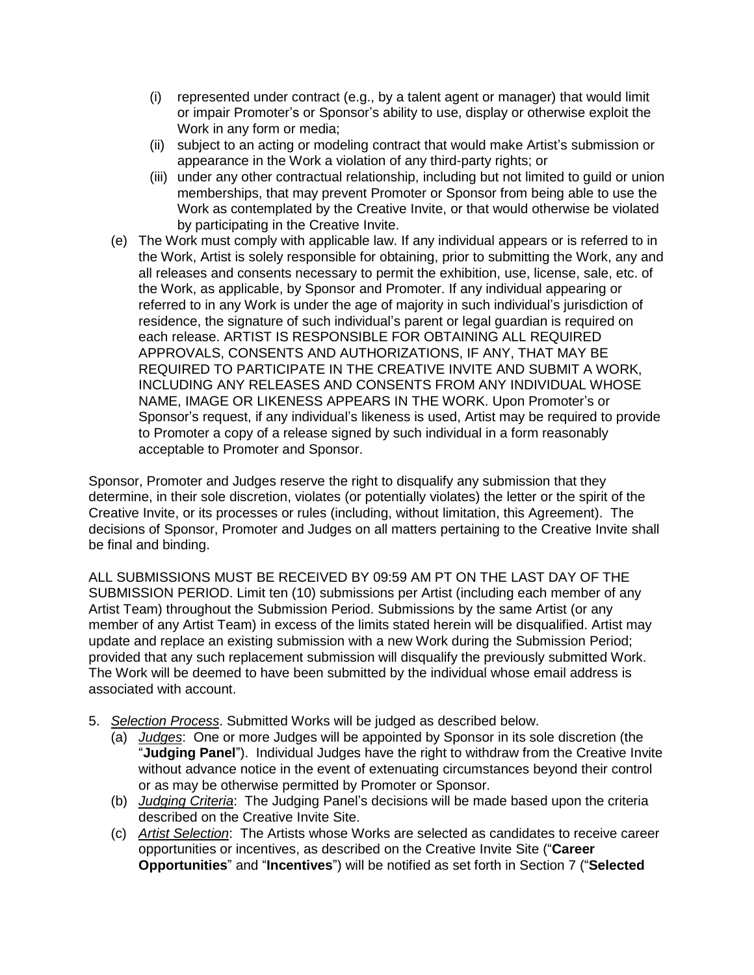- (i) represented under contract (e.g., by a talent agent or manager) that would limit or impair Promoter's or Sponsor's ability to use, display or otherwise exploit the Work in any form or media;
- (ii) subject to an acting or modeling contract that would make Artist's submission or appearance in the Work a violation of any third-party rights; or
- (iii) under any other contractual relationship, including but not limited to guild or union memberships, that may prevent Promoter or Sponsor from being able to use the Work as contemplated by the Creative Invite, or that would otherwise be violated by participating in the Creative Invite.
- (e) The Work must comply with applicable law. If any individual appears or is referred to in the Work, Artist is solely responsible for obtaining, prior to submitting the Work, any and all releases and consents necessary to permit the exhibition, use, license, sale, etc. of the Work, as applicable, by Sponsor and Promoter. If any individual appearing or referred to in any Work is under the age of majority in such individual's jurisdiction of residence, the signature of such individual's parent or legal guardian is required on each release. ARTIST IS RESPONSIBLE FOR OBTAINING ALL REQUIRED APPROVALS, CONSENTS AND AUTHORIZATIONS, IF ANY, THAT MAY BE REQUIRED TO PARTICIPATE IN THE CREATIVE INVITE AND SUBMIT A WORK, INCLUDING ANY RELEASES AND CONSENTS FROM ANY INDIVIDUAL WHOSE NAME, IMAGE OR LIKENESS APPEARS IN THE WORK. Upon Promoter's or Sponsor's request, if any individual's likeness is used, Artist may be required to provide to Promoter a copy of a release signed by such individual in a form reasonably acceptable to Promoter and Sponsor.

Sponsor, Promoter and Judges reserve the right to disqualify any submission that they determine, in their sole discretion, violates (or potentially violates) the letter or the spirit of the Creative Invite, or its processes or rules (including, without limitation, this Agreement). The decisions of Sponsor, Promoter and Judges on all matters pertaining to the Creative Invite shall be final and binding.

ALL SUBMISSIONS MUST BE RECEIVED BY 09:59 AM PT ON THE LAST DAY OF THE SUBMISSION PERIOD. Limit ten (10) submissions per Artist (including each member of any Artist Team) throughout the Submission Period. Submissions by the same Artist (or any member of any Artist Team) in excess of the limits stated herein will be disqualified. Artist may update and replace an existing submission with a new Work during the Submission Period; provided that any such replacement submission will disqualify the previously submitted Work. The Work will be deemed to have been submitted by the individual whose email address is associated with account.

- 5. *Selection Process*. Submitted Works will be judged as described below.
	- (a) *Judges*: One or more Judges will be appointed by Sponsor in its sole discretion (the "**Judging Panel**"). Individual Judges have the right to withdraw from the Creative Invite without advance notice in the event of extenuating circumstances beyond their control or as may be otherwise permitted by Promoter or Sponsor.
	- (b) *Judging Criteria*: The Judging Panel's decisions will be made based upon the criteria described on the Creative Invite Site.
	- (c) *Artist Selection*: The Artists whose Works are selected as candidates to receive career opportunities or incentives, as described on the Creative Invite Site ("**Career Opportunities**" and "**Incentives**") will be notified as set forth in Section 7 ("**Selected**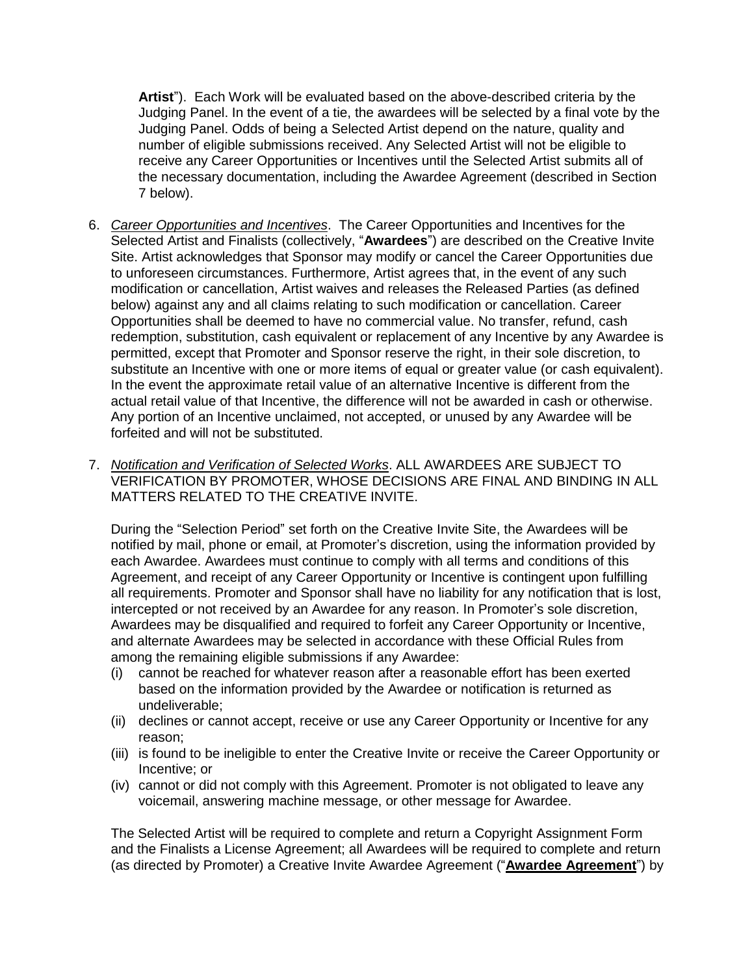**Artist**"). Each Work will be evaluated based on the above-described criteria by the Judging Panel. In the event of a tie, the awardees will be selected by a final vote by the Judging Panel. Odds of being a Selected Artist depend on the nature, quality and number of eligible submissions received. Any Selected Artist will not be eligible to receive any Career Opportunities or Incentives until the Selected Artist submits all of the necessary documentation, including the Awardee Agreement (described in Section 7 below).

- 6. *Career Opportunities and Incentives*. The Career Opportunities and Incentives for the Selected Artist and Finalists (collectively, "**Awardees**") are described on the Creative Invite Site. Artist acknowledges that Sponsor may modify or cancel the Career Opportunities due to unforeseen circumstances. Furthermore, Artist agrees that, in the event of any such modification or cancellation, Artist waives and releases the Released Parties (as defined below) against any and all claims relating to such modification or cancellation. Career Opportunities shall be deemed to have no commercial value. No transfer, refund, cash redemption, substitution, cash equivalent or replacement of any Incentive by any Awardee is permitted, except that Promoter and Sponsor reserve the right, in their sole discretion, to substitute an Incentive with one or more items of equal or greater value (or cash equivalent). In the event the approximate retail value of an alternative Incentive is different from the actual retail value of that Incentive, the difference will not be awarded in cash or otherwise. Any portion of an Incentive unclaimed, not accepted, or unused by any Awardee will be forfeited and will not be substituted.
- 7. *Notification and Verification of Selected Works*. ALL AWARDEES ARE SUBJECT TO VERIFICATION BY PROMOTER, WHOSE DECISIONS ARE FINAL AND BINDING IN ALL MATTERS RELATED TO THE CREATIVE INVITE.

During the "Selection Period" set forth on the Creative Invite Site, the Awardees will be notified by mail, phone or email, at Promoter's discretion, using the information provided by each Awardee. Awardees must continue to comply with all terms and conditions of this Agreement, and receipt of any Career Opportunity or Incentive is contingent upon fulfilling all requirements. Promoter and Sponsor shall have no liability for any notification that is lost, intercepted or not received by an Awardee for any reason. In Promoter's sole discretion, Awardees may be disqualified and required to forfeit any Career Opportunity or Incentive, and alternate Awardees may be selected in accordance with these Official Rules from among the remaining eligible submissions if any Awardee:

- (i) cannot be reached for whatever reason after a reasonable effort has been exerted based on the information provided by the Awardee or notification is returned as undeliverable;
- (ii) declines or cannot accept, receive or use any Career Opportunity or Incentive for any reason;
- (iii) is found to be ineligible to enter the Creative Invite or receive the Career Opportunity or Incentive; or
- (iv) cannot or did not comply with this Agreement. Promoter is not obligated to leave any voicemail, answering machine message, or other message for Awardee.

The Selected Artist will be required to complete and return a Copyright Assignment Form and the Finalists a License Agreement; all Awardees will be required to complete and return (as directed by Promoter) a Creative Invite Awardee Agreement ("**Awardee [Agreement](https://talenthouse-res.cloudinary.com/image/upload/v1/invites/poqo7taivlj7fqnccbhv)**") by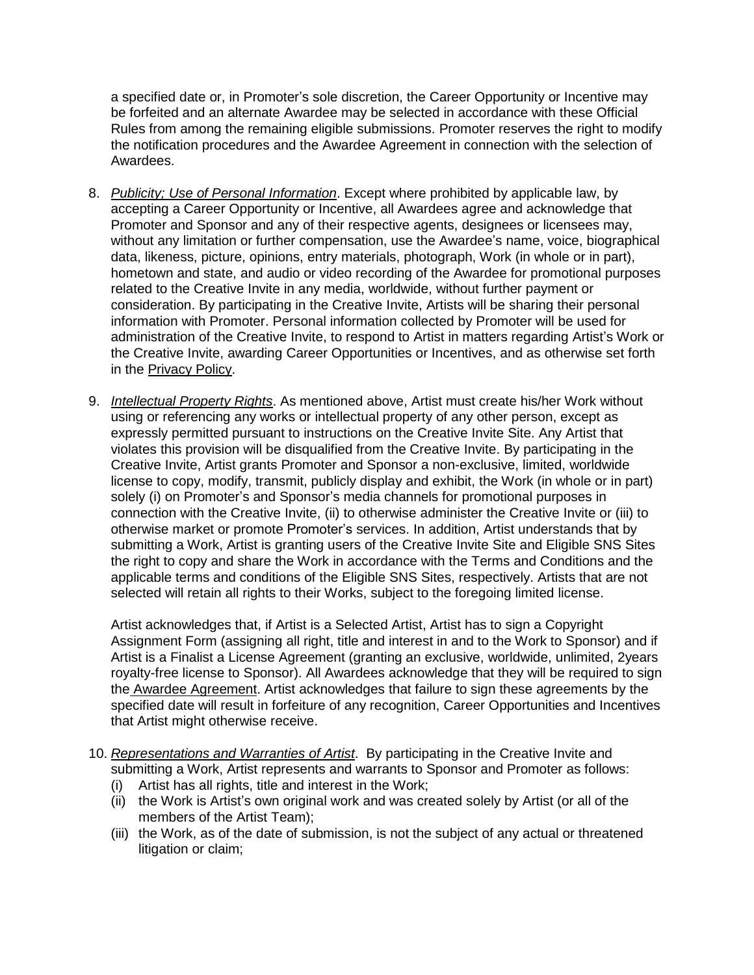a specified date or, in Promoter's sole discretion, the Career Opportunity or Incentive may be forfeited and an alternate Awardee may be selected in accordance with these Official Rules from among the remaining eligible submissions. Promoter reserves the right to modify the notification procedures and the Awardee Agreement in connection with the selection of Awardees.

- 8. *Publicity; Use of Personal Information*. Except where prohibited by applicable law, by accepting a Career Opportunity or Incentive, all Awardees agree and acknowledge that Promoter and Sponsor and any of their respective agents, designees or licensees may, without any limitation or further compensation, use the Awardee's name, voice, biographical data, likeness, picture, opinions, entry materials, photograph, Work (in whole or in part), hometown and state, and audio or video recording of the Awardee for promotional purposes related to the Creative Invite in any media, worldwide, without further payment or consideration. By participating in the Creative Invite, Artists will be sharing their personal information with Promoter. Personal information collected by Promoter will be used for administration of the Creative Invite, to respond to Artist in matters regarding Artist's Work or the Creative Invite, awarding Career Opportunities or Incentives, and as otherwise set forth in the [Privacy](https://www.talenthouse.com/privacy-policy) Policy.
- 9. *Intellectual Property Rights*. As mentioned above, Artist must create his/her Work without using or referencing any works or intellectual property of any other person, except as expressly permitted pursuant to instructions on the Creative Invite Site. Any Artist that violates this provision will be disqualified from the Creative Invite. By participating in the Creative Invite, Artist grants Promoter and Sponsor a non-exclusive, limited, worldwide license to copy, modify, transmit, publicly display and exhibit, the Work (in whole or in part) solely (i) on Promoter's and Sponsor's media channels for promotional purposes in connection with the Creative Invite, (ii) to otherwise administer the Creative Invite or (iii) to otherwise market or promote Promoter's services. In addition, Artist understands that by submitting a Work, Artist is granting users of the Creative Invite Site and Eligible SNS Sites the right to copy and share the Work in accordance with the Terms and Conditions and the applicable terms and conditions of the Eligible SNS Sites, respectively. Artists that are not selected will retain all rights to their Works, subject to the foregoing limited license.

Artist acknowledges that, if Artist is a Selected Artist, Artist has to sign a Copyright Assignment Form (assigning all right, title and interest in and to the Work to Sponsor) and if Artist is a Finalist a License Agreement (granting an exclusive, worldwide, unlimited, 2years royalty-free license to Sponsor). All Awardees acknowledge that they will be required to sign the Awardee [Agreement.](https://talenthouse-res.cloudinary.com/image/upload/v1/invites/poqo7taivlj7fqnccbhv) Artist acknowledges that failure to sign these agreements by the specified date will result in forfeiture of any recognition, Career Opportunities and Incentives that Artist might otherwise receive.

- 10. *Representations and Warranties of Artist*. By participating in the Creative Invite and submitting a Work, Artist represents and warrants to Sponsor and Promoter as follows:
	- (i) Artist has all rights, title and interest in the Work;
	- (ii) the Work is Artist's own original work and was created solely by Artist (or all of the members of the Artist Team);
	- (iii) the Work, as of the date of submission, is not the subject of any actual or threatened litigation or claim;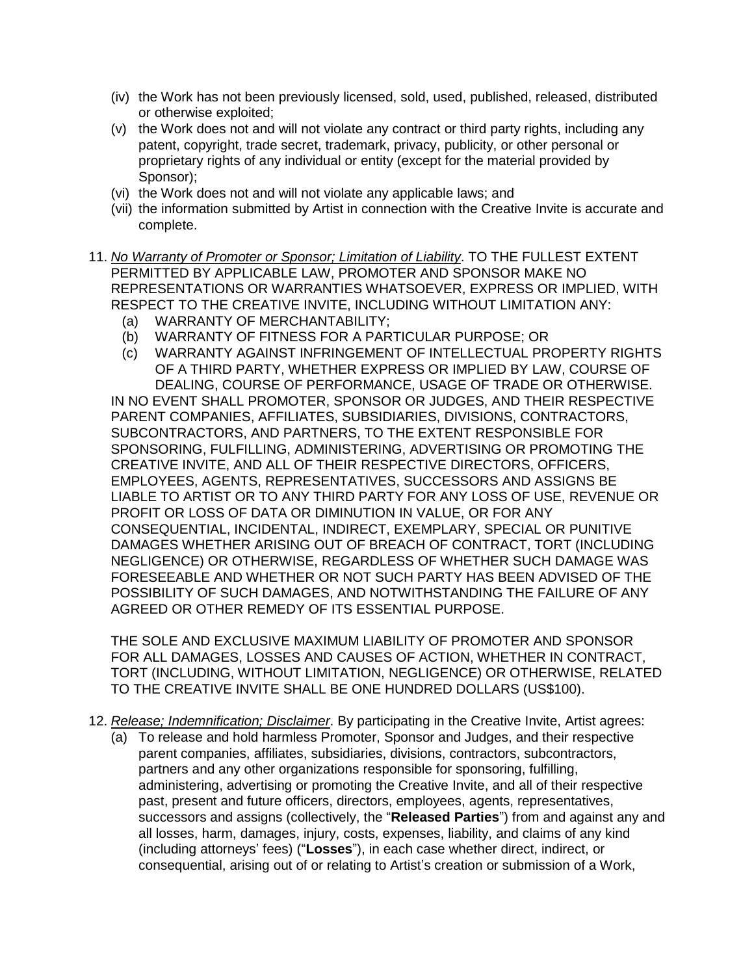- (iv) the Work has not been previously licensed, sold, used, published, released, distributed or otherwise exploited;
- (v) the Work does not and will not violate any contract or third party rights, including any patent, copyright, trade secret, trademark, privacy, publicity, or other personal or proprietary rights of any individual or entity (except for the material provided by Sponsor);
- (vi) the Work does not and will not violate any applicable laws; and
- (vii) the information submitted by Artist in connection with the Creative Invite is accurate and complete.
- 11. *No Warranty of Promoter or Sponsor; Limitation of Liability*. TO THE FULLEST EXTENT PERMITTED BY APPLICABLE LAW, PROMOTER AND SPONSOR MAKE NO REPRESENTATIONS OR WARRANTIES WHATSOEVER, EXPRESS OR IMPLIED, WITH RESPECT TO THE CREATIVE INVITE, INCLUDING WITHOUT LIMITATION ANY:
	- (a) WARRANTY OF MERCHANTABILITY;
	- (b) WARRANTY OF FITNESS FOR A PARTICULAR PURPOSE; OR
	- (c) WARRANTY AGAINST INFRINGEMENT OF INTELLECTUAL PROPERTY RIGHTS OF A THIRD PARTY, WHETHER EXPRESS OR IMPLIED BY LAW, COURSE OF DEALING, COURSE OF PERFORMANCE, USAGE OF TRADE OR OTHERWISE.

IN NO EVENT SHALL PROMOTER, SPONSOR OR JUDGES, AND THEIR RESPECTIVE PARENT COMPANIES, AFFILIATES, SUBSIDIARIES, DIVISIONS, CONTRACTORS, SUBCONTRACTORS, AND PARTNERS, TO THE EXTENT RESPONSIBLE FOR SPONSORING, FULFILLING, ADMINISTERING, ADVERTISING OR PROMOTING THE CREATIVE INVITE, AND ALL OF THEIR RESPECTIVE DIRECTORS, OFFICERS, EMPLOYEES, AGENTS, REPRESENTATIVES, SUCCESSORS AND ASSIGNS BE LIABLE TO ARTIST OR TO ANY THIRD PARTY FOR ANY LOSS OF USE, REVENUE OR PROFIT OR LOSS OF DATA OR DIMINUTION IN VALUE, OR FOR ANY CONSEQUENTIAL, INCIDENTAL, INDIRECT, EXEMPLARY, SPECIAL OR PUNITIVE DAMAGES WHETHER ARISING OUT OF BREACH OF CONTRACT, TORT (INCLUDING NEGLIGENCE) OR OTHERWISE, REGARDLESS OF WHETHER SUCH DAMAGE WAS FORESEEABLE AND WHETHER OR NOT SUCH PARTY HAS BEEN ADVISED OF THE POSSIBILITY OF SUCH DAMAGES, AND NOTWITHSTANDING THE FAILURE OF ANY AGREED OR OTHER REMEDY OF ITS ESSENTIAL PURPOSE.

THE SOLE AND EXCLUSIVE MAXIMUM LIABILITY OF PROMOTER AND SPONSOR FOR ALL DAMAGES, LOSSES AND CAUSES OF ACTION, WHETHER IN CONTRACT, TORT (INCLUDING, WITHOUT LIMITATION, NEGLIGENCE) OR OTHERWISE, RELATED TO THE CREATIVE INVITE SHALL BE ONE HUNDRED DOLLARS (US\$100).

- 12. *Release; Indemnification; Disclaimer*. By participating in the Creative Invite, Artist agrees:
	- (a) To release and hold harmless Promoter, Sponsor and Judges, and their respective parent companies, affiliates, subsidiaries, divisions, contractors, subcontractors, partners and any other organizations responsible for sponsoring, fulfilling, administering, advertising or promoting the Creative Invite, and all of their respective past, present and future officers, directors, employees, agents, representatives, successors and assigns (collectively, the "**Released Parties**") from and against any and all losses, harm, damages, injury, costs, expenses, liability, and claims of any kind (including attorneys' fees) ("**Losses**"), in each case whether direct, indirect, or consequential, arising out of or relating to Artist's creation or submission of a Work,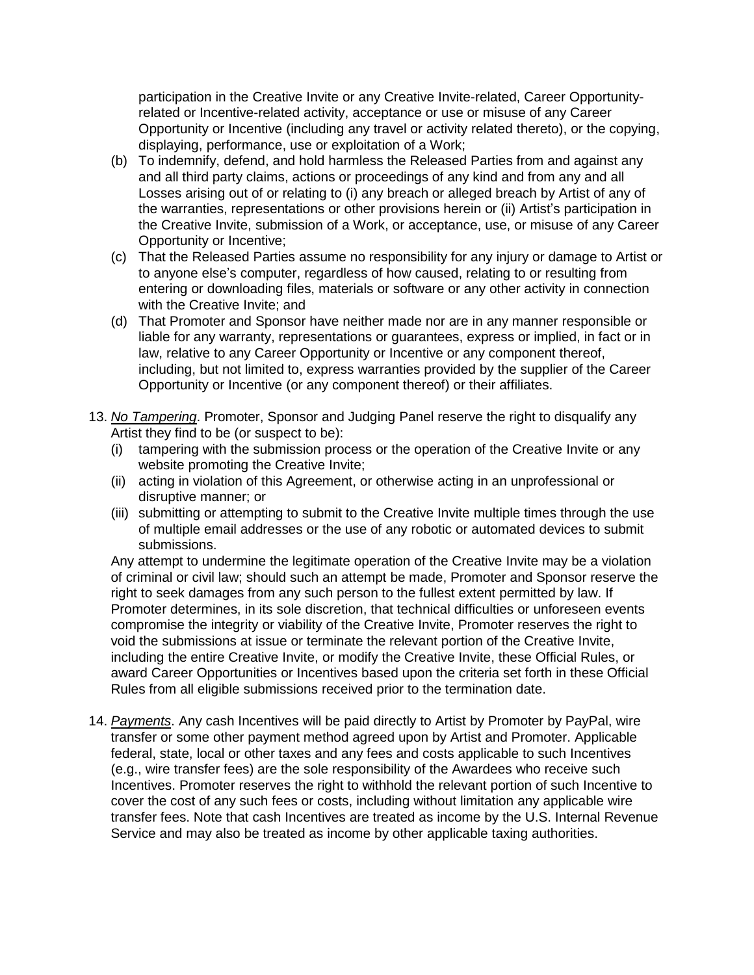participation in the Creative Invite or any Creative Invite-related, Career Opportunityrelated or Incentive-related activity, acceptance or use or misuse of any Career Opportunity or Incentive (including any travel or activity related thereto), or the copying, displaying, performance, use or exploitation of a Work;

- (b) To indemnify, defend, and hold harmless the Released Parties from and against any and all third party claims, actions or proceedings of any kind and from any and all Losses arising out of or relating to (i) any breach or alleged breach by Artist of any of the warranties, representations or other provisions herein or (ii) Artist's participation in the Creative Invite, submission of a Work, or acceptance, use, or misuse of any Career Opportunity or Incentive;
- (c) That the Released Parties assume no responsibility for any injury or damage to Artist or to anyone else's computer, regardless of how caused, relating to or resulting from entering or downloading files, materials or software or any other activity in connection with the Creative Invite; and
- (d) That Promoter and Sponsor have neither made nor are in any manner responsible or liable for any warranty, representations or guarantees, express or implied, in fact or in law, relative to any Career Opportunity or Incentive or any component thereof, including, but not limited to, express warranties provided by the supplier of the Career Opportunity or Incentive (or any component thereof) or their affiliates.
- 13. *No Tampering*. Promoter, Sponsor and Judging Panel reserve the right to disqualify any Artist they find to be (or suspect to be):
	- (i) tampering with the submission process or the operation of the Creative Invite or any website promoting the Creative Invite;
	- (ii) acting in violation of this Agreement, or otherwise acting in an unprofessional or disruptive manner; or
	- (iii) submitting or attempting to submit to the Creative Invite multiple times through the use of multiple email addresses or the use of any robotic or automated devices to submit submissions.

Any attempt to undermine the legitimate operation of the Creative Invite may be a violation of criminal or civil law; should such an attempt be made, Promoter and Sponsor reserve the right to seek damages from any such person to the fullest extent permitted by law. If Promoter determines, in its sole discretion, that technical difficulties or unforeseen events compromise the integrity or viability of the Creative Invite, Promoter reserves the right to void the submissions at issue or terminate the relevant portion of the Creative Invite, including the entire Creative Invite, or modify the Creative Invite, these Official Rules, or award Career Opportunities or Incentives based upon the criteria set forth in these Official Rules from all eligible submissions received prior to the termination date.

14. *Payments*. Any cash Incentives will be paid directly to Artist by Promoter by PayPal, wire transfer or some other payment method agreed upon by Artist and Promoter. Applicable federal, state, local or other taxes and any fees and costs applicable to such Incentives (e.g., wire transfer fees) are the sole responsibility of the Awardees who receive such Incentives. Promoter reserves the right to withhold the relevant portion of such Incentive to cover the cost of any such fees or costs, including without limitation any applicable wire transfer fees. Note that cash Incentives are treated as income by the U.S. Internal Revenue Service and may also be treated as income by other applicable taxing authorities.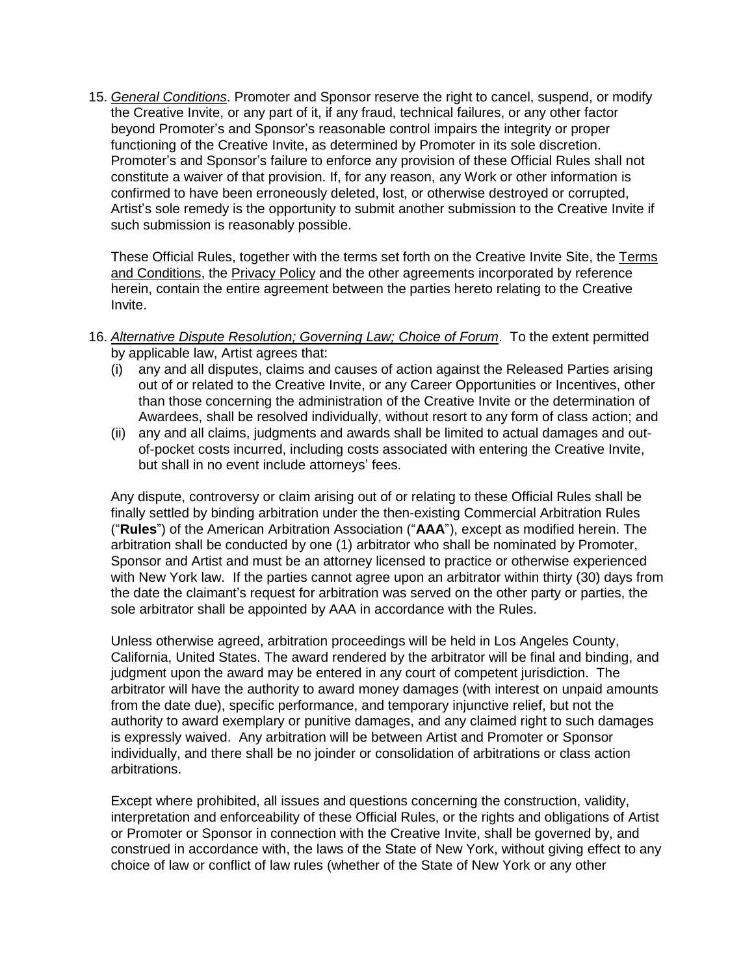15. *General Conditions*. Promoter and Sponsor reserve the right to cancel, suspend, or modify the Creative Invite, or any part of it, if any fraud, technical failures, or any other factor beyond Promoter's and Sponsor's reasonable control impairs the integrity or proper functioning of the Creative Invite, as determined by Promoter in its sole discretion. Promoter's and Sponsor's failure to enforce any provision of these Official Rules shall not constitute a waiver of that provision. If, for any reason, any Work or other information is confirmed to have been erroneously deleted, lost, or otherwise destroyed or corrupted, Artist's sole remedy is the opportunity to submit another submission to the Creative Invite if such submission is reasonably possible.

These Official Rules, together with the terms set forth on the Creative Invite Site, the [Terms](https://www.talenthouse.com/terms-and-conditions) and [Conditions,](https://www.talenthouse.com/terms-and-conditions) the [Privacy](https://www.talenthouse.com/privacy-policy) Policy and the other agreements incorporated by reference herein, contain the entire agreement between the parties hereto relating to the Creative Invite.

- 16. *Alternative Dispute Resolution; Governing Law; Choice of Forum*. To the extent permitted by applicable law, Artist agrees that:
	- (i) any and all disputes, claims and causes of action against the Released Parties arising out of or related to the Creative Invite, or any Career Opportunities or Incentives, other than those concerning the administration of the Creative Invite or the determination of Awardees, shall be resolved individually, without resort to any form of class action; and
	- (ii) any and all claims, judgments and awards shall be limited to actual damages and outof-pocket costs incurred, including costs associated with entering the Creative Invite, but shall in no event include attorneys' fees.

Any dispute, controversy or claim arising out of or relating to these Official Rules shall be finally settled by binding arbitration under the then-existing Commercial Arbitration Rules ("**Rules**") of the American Arbitration Association ("**AAA**"), except as modified herein. The arbitration shall be conducted by one (1) arbitrator who shall be nominated by Promoter, Sponsor and Artist and must be an attorney licensed to practice or otherwise experienced with New York law. If the parties cannot agree upon an arbitrator within thirty (30) days from the date the claimant's request for arbitration was served on the other party or parties, the sole arbitrator shall be appointed by AAA in accordance with the Rules.

Unless otherwise agreed, arbitration proceedings will be held in Los Angeles County, California, United States. The award rendered by the arbitrator will be final and binding, and judgment upon the award may be entered in any court of competent jurisdiction. The arbitrator will have the authority to award money damages (with interest on unpaid amounts from the date due), specific performance, and temporary injunctive relief, but not the authority to award exemplary or punitive damages, and any claimed right to such damages is expressly waived. Any arbitration will be between Artist and Promoter or Sponsor individually, and there shall be no joinder or consolidation of arbitrations or class action arbitrations.

Except where prohibited, all issues and questions concerning the construction, validity, interpretation and enforceability of these Official Rules, or the rights and obligations of Artist or Promoter or Sponsor in connection with the Creative Invite, shall be governed by, and construed in accordance with, the laws of the State of New York, without giving effect to any choice of law or conflict of law rules (whether of the State of New York or any other